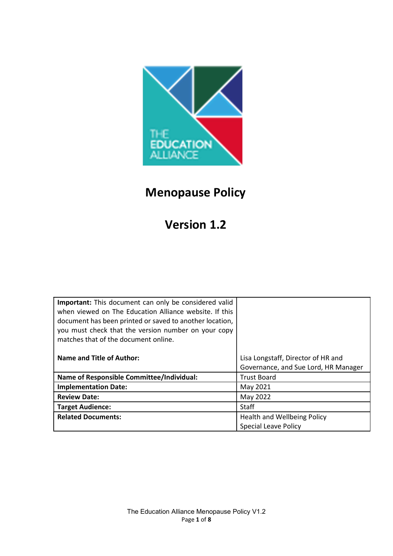

# Menopause Policy

# Version 1.2

| <b>Important:</b> This document can only be considered valid<br>when viewed on The Education Alliance website. If this<br>document has been printed or saved to another location,<br>you must check that the version number on your copy<br>matches that of the document online. |                                      |
|----------------------------------------------------------------------------------------------------------------------------------------------------------------------------------------------------------------------------------------------------------------------------------|--------------------------------------|
| <b>Name and Title of Author:</b>                                                                                                                                                                                                                                                 | Lisa Longstaff, Director of HR and   |
|                                                                                                                                                                                                                                                                                  | Governance, and Sue Lord, HR Manager |
| <b>Name of Responsible Committee/Individual:</b>                                                                                                                                                                                                                                 | <b>Trust Board</b>                   |
| <b>Implementation Date:</b>                                                                                                                                                                                                                                                      | May 2021                             |
| <b>Review Date:</b>                                                                                                                                                                                                                                                              | May 2022                             |
| <b>Target Audience:</b>                                                                                                                                                                                                                                                          | <b>Staff</b>                         |
| <b>Related Documents:</b>                                                                                                                                                                                                                                                        | Health and Wellbeing Policy          |
|                                                                                                                                                                                                                                                                                  | <b>Special Leave Policy</b>          |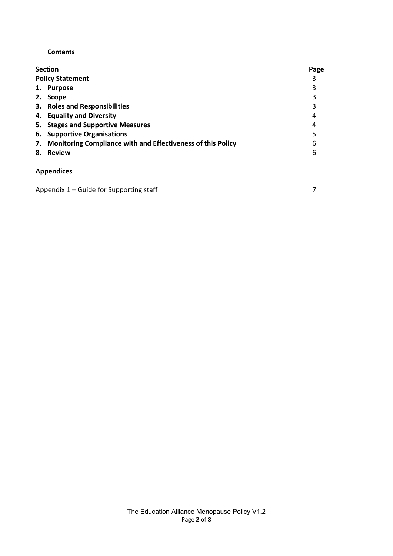## **Contents**

| <b>Section</b>                                                    | Page |
|-------------------------------------------------------------------|------|
| <b>Policy Statement</b>                                           | 3    |
| 1. Purpose                                                        | 3    |
| <b>Scope</b><br>2.                                                | 3    |
| 3. Roles and Responsibilities                                     | 3    |
| 4. Equality and Diversity                                         | 4    |
| <b>Stages and Supportive Measures</b><br>5.                       | 4    |
| <b>Supportive Organisations</b><br>6.                             |      |
| Monitoring Compliance with and Effectiveness of this Policy<br>7. | 6    |
| <b>Review</b><br>8.                                               | 6    |
| <b>Appendices</b>                                                 |      |

| Appendix 1 – Guide for Supporting staff |  |
|-----------------------------------------|--|
|                                         |  |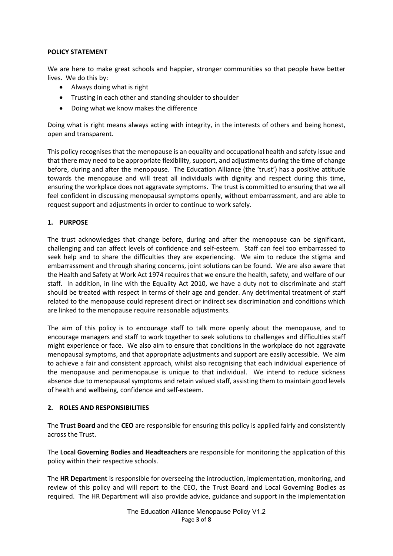#### POLICY STATEMENT

We are here to make great schools and happier, stronger communities so that people have better lives. We do this by:

- Always doing what is right
- Trusting in each other and standing shoulder to shoulder
- Doing what we know makes the difference

Doing what is right means always acting with integrity, in the interests of others and being honest, open and transparent.

This policy recognises that the menopause is an equality and occupational health and safety issue and that there may need to be appropriate flexibility, support, and adjustments during the time of change before, during and after the menopause. The Education Alliance (the 'trust') has a positive attitude towards the menopause and will treat all individuals with dignity and respect during this time, ensuring the workplace does not aggravate symptoms. The trust is committed to ensuring that we all feel confident in discussing menopausal symptoms openly, without embarrassment, and are able to request support and adjustments in order to continue to work safely.

### 1. PURPOSE

The trust acknowledges that change before, during and after the menopause can be significant, challenging and can affect levels of confidence and self-esteem. Staff can feel too embarrassed to seek help and to share the difficulties they are experiencing. We aim to reduce the stigma and embarrassment and through sharing concerns, joint solutions can be found. We are also aware that the Health and Safety at Work Act 1974 requires that we ensure the health, safety, and welfare of our staff. In addition, in line with the Equality Act 2010, we have a duty not to discriminate and staff should be treated with respect in terms of their age and gender. Any detrimental treatment of staff related to the menopause could represent direct or indirect sex discrimination and conditions which are linked to the menopause require reasonable adjustments.

The aim of this policy is to encourage staff to talk more openly about the menopause, and to encourage managers and staff to work together to seek solutions to challenges and difficulties staff might experience or face. We also aim to ensure that conditions in the workplace do not aggravate menopausal symptoms, and that appropriate adjustments and support are easily accessible. We aim to achieve a fair and consistent approach, whilst also recognising that each individual experience of the menopause and perimenopause is unique to that individual. We intend to reduce sickness absence due to menopausal symptoms and retain valued staff, assisting them to maintain good levels of health and wellbeing, confidence and self-esteem.

#### 2. ROLES AND RESPONSIBILITIES

The Trust Board and the CEO are responsible for ensuring this policy is applied fairly and consistently across the Trust.

The Local Governing Bodies and Headteachers are responsible for monitoring the application of this policy within their respective schools.

The HR Department is responsible for overseeing the introduction, implementation, monitoring, and review of this policy and will report to the CEO, the Trust Board and Local Governing Bodies as required. The HR Department will also provide advice, guidance and support in the implementation

> The Education Alliance Menopause Policy V1.2 Page 3 of 8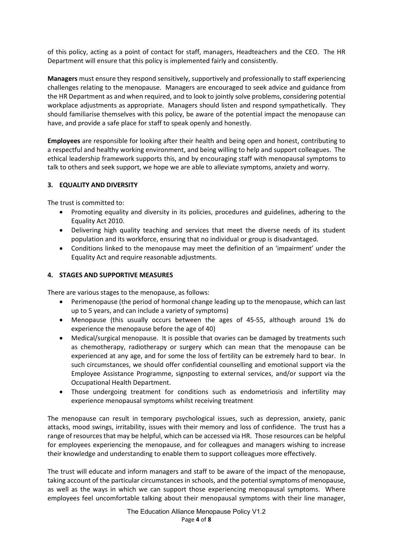of this policy, acting as a point of contact for staff, managers, Headteachers and the CEO. The HR Department will ensure that this policy is implemented fairly and consistently.

Managers must ensure they respond sensitively, supportively and professionally to staff experiencing challenges relating to the menopause. Managers are encouraged to seek advice and guidance from the HR Department as and when required, and to look to jointly solve problems, considering potential workplace adjustments as appropriate. Managers should listen and respond sympathetically. They should familiarise themselves with this policy, be aware of the potential impact the menopause can have, and provide a safe place for staff to speak openly and honestly.

Employees are responsible for looking after their health and being open and honest, contributing to a respectful and healthy working environment, and being willing to help and support colleagues. The ethical leadership framework supports this, and by encouraging staff with menopausal symptoms to talk to others and seek support, we hope we are able to alleviate symptoms, anxiety and worry.

## 3. EQUALITY AND DIVERSITY

The trust is committed to:

- Promoting equality and diversity in its policies, procedures and guidelines, adhering to the Equality Act 2010.
- Delivering high quality teaching and services that meet the diverse needs of its student population and its workforce, ensuring that no individual or group is disadvantaged.
- Conditions linked to the menopause may meet the definition of an 'impairment' under the Equality Act and require reasonable adjustments.

#### 4. STAGES AND SUPPORTIVE MEASURES

There are various stages to the menopause, as follows:

- Perimenopause (the period of hormonal change leading up to the menopause, which can last up to 5 years, and can include a variety of symptoms)
- Menopause (this usually occurs between the ages of 45-55, although around 1% do experience the menopause before the age of 40)
- Medical/surgical menopause. It is possible that ovaries can be damaged by treatments such as chemotherapy, radiotherapy or surgery which can mean that the menopause can be experienced at any age, and for some the loss of fertility can be extremely hard to bear. In such circumstances, we should offer confidential counselling and emotional support via the Employee Assistance Programme, signposting to external services, and/or support via the Occupational Health Department.
- Those undergoing treatment for conditions such as endometriosis and infertility may experience menopausal symptoms whilst receiving treatment

The menopause can result in temporary psychological issues, such as depression, anxiety, panic attacks, mood swings, irritability, issues with their memory and loss of confidence. The trust has a range of resources that may be helpful, which can be accessed via HR. Those resources can be helpful for employees experiencing the menopause, and for colleagues and managers wishing to increase their knowledge and understanding to enable them to support colleagues more effectively.

The trust will educate and inform managers and staff to be aware of the impact of the menopause, taking account of the particular circumstances in schools, and the potential symptoms of menopause, as well as the ways in which we can support those experiencing menopausal symptoms. Where employees feel uncomfortable talking about their menopausal symptoms with their line manager,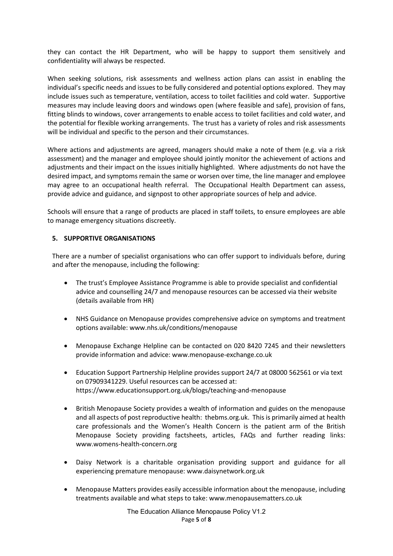they can contact the HR Department, who will be happy to support them sensitively and confidentiality will always be respected.

When seeking solutions, risk assessments and wellness action plans can assist in enabling the individual's specific needs and issues to be fully considered and potential options explored. They may include issues such as temperature, ventilation, access to toilet facilities and cold water. Supportive measures may include leaving doors and windows open (where feasible and safe), provision of fans, fitting blinds to windows, cover arrangements to enable access to toilet facilities and cold water, and the potential for flexible working arrangements. The trust has a variety of roles and risk assessments will be individual and specific to the person and their circumstances.

Where actions and adjustments are agreed, managers should make a note of them (e.g. via a risk assessment) and the manager and employee should jointly monitor the achievement of actions and adjustments and their impact on the issues initially highlighted. Where adjustments do not have the desired impact, and symptoms remain the same or worsen over time, the line manager and employee may agree to an occupational health referral. The Occupational Health Department can assess, provide advice and guidance, and signpost to other appropriate sources of help and advice.

Schools will ensure that a range of products are placed in staff toilets, to ensure employees are able to manage emergency situations discreetly.

### 5. SUPPORTIVE ORGANISATIONS

There are a number of specialist organisations who can offer support to individuals before, during and after the menopause, including the following:

- The trust's Employee Assistance Programme is able to provide specialist and confidential advice and counselling 24/7 and menopause resources can be accessed via their website (details available from HR)
- NHS Guidance on Menopause provides comprehensive advice on symptoms and treatment options available: www.nhs.uk/conditions/menopause
- Menopause Exchange Helpline can be contacted on 020 8420 7245 and their newsletters provide information and advice: www.menopause-exchange.co.uk
- Education Support Partnership Helpline provides support 24/7 at 08000 562561 or via text on 07909341229. Useful resources can be accessed at: https://www.educationsupport.org.uk/blogs/teaching-and-menopause
- British Menopause Society provides a wealth of information and guides on the menopause and all aspects of post reproductive health: thebms.org.uk. This is primarily aimed at health care professionals and the Women's Health Concern is the patient arm of the British Menopause Society providing factsheets, articles, FAQs and further reading links: www.womens-health-concern.org
- Daisy Network is a charitable organisation providing support and guidance for all experiencing premature menopause: www.daisynetwork.org.uk
- Menopause Matters provides easily accessible information about the menopause, including treatments available and what steps to take: www.menopausematters.co.uk

The Education Alliance Menopause Policy V1.2 Page 5 of 8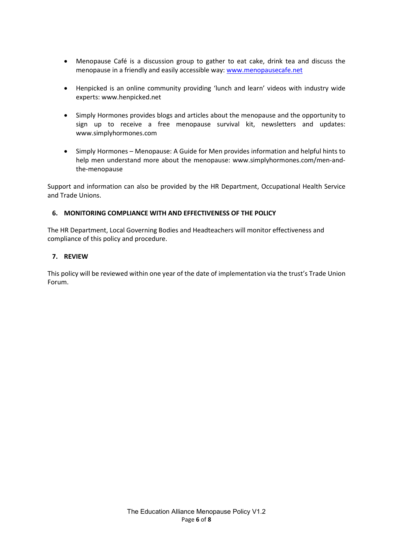- Menopause Café is a discussion group to gather to eat cake, drink tea and discuss the menopause in a friendly and easily accessible way: www.menopausecafe.net
- Henpicked is an online community providing 'lunch and learn' videos with industry wide experts: www.henpicked.net
- Simply Hormones provides blogs and articles about the menopause and the opportunity to sign up to receive a free menopause survival kit, newsletters and updates: www.simplyhormones.com
- Simply Hormones Menopause: A Guide for Men provides information and helpful hints to help men understand more about the menopause: www.simplyhormones.com/men-andthe-menopause

Support and information can also be provided by the HR Department, Occupational Health Service and Trade Unions.

### 6. MONITORING COMPLIANCE WITH AND EFFECTIVENESS OF THE POLICY

The HR Department, Local Governing Bodies and Headteachers will monitor effectiveness and compliance of this policy and procedure.

### 7. REVIEW

This policy will be reviewed within one year of the date of implementation via the trust's Trade Union Forum.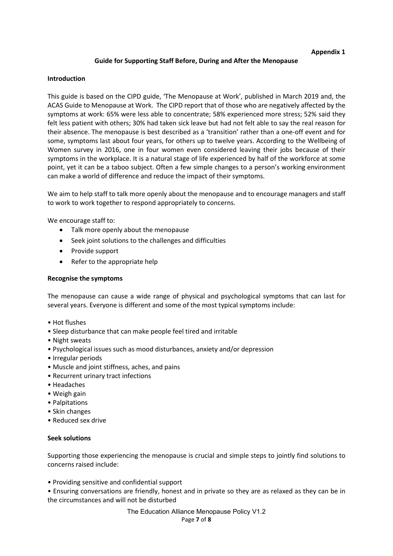#### Appendix 1

#### Guide for Supporting Staff Before, During and After the Menopause

#### Introduction

This guide is based on the CIPD guide, 'The Menopause at Work', published in March 2019 and, the ACAS Guide to Menopause at Work. The CIPD report that of those who are negatively affected by the symptoms at work: 65% were less able to concentrate; 58% experienced more stress; 52% said they felt less patient with others; 30% had taken sick leave but had not felt able to say the real reason for their absence. The menopause is best described as a 'transition' rather than a one-off event and for some, symptoms last about four years, for others up to twelve years. According to the Wellbeing of Women survey in 2016, one in four women even considered leaving their jobs because of their symptoms in the workplace. It is a natural stage of life experienced by half of the workforce at some point, yet it can be a taboo subject. Often a few simple changes to a person's working environment can make a world of difference and reduce the impact of their symptoms.

We aim to help staff to talk more openly about the menopause and to encourage managers and staff to work to work together to respond appropriately to concerns.

We encourage staff to:

- Talk more openly about the menopause
- Seek joint solutions to the challenges and difficulties
- Provide support
- Refer to the appropriate help

#### Recognise the symptoms

The menopause can cause a wide range of physical and psychological symptoms that can last for several years. Everyone is different and some of the most typical symptoms include:

- Hot flushes
- Sleep disturbance that can make people feel tired and irritable
- Night sweats
- Psychological issues such as mood disturbances, anxiety and/or depression
- Irregular periods
- Muscle and joint stiffness, aches, and pains
- Recurrent urinary tract infections
- Headaches
- Weigh gain
- Palpitations
- Skin changes
- Reduced sex drive

#### Seek solutions

Supporting those experiencing the menopause is crucial and simple steps to jointly find solutions to concerns raised include:

• Providing sensitive and confidential support

• Ensuring conversations are friendly, honest and in private so they are as relaxed as they can be in the circumstances and will not be disturbed

> The Education Alliance Menopause Policy V1.2 Page 7 of 8